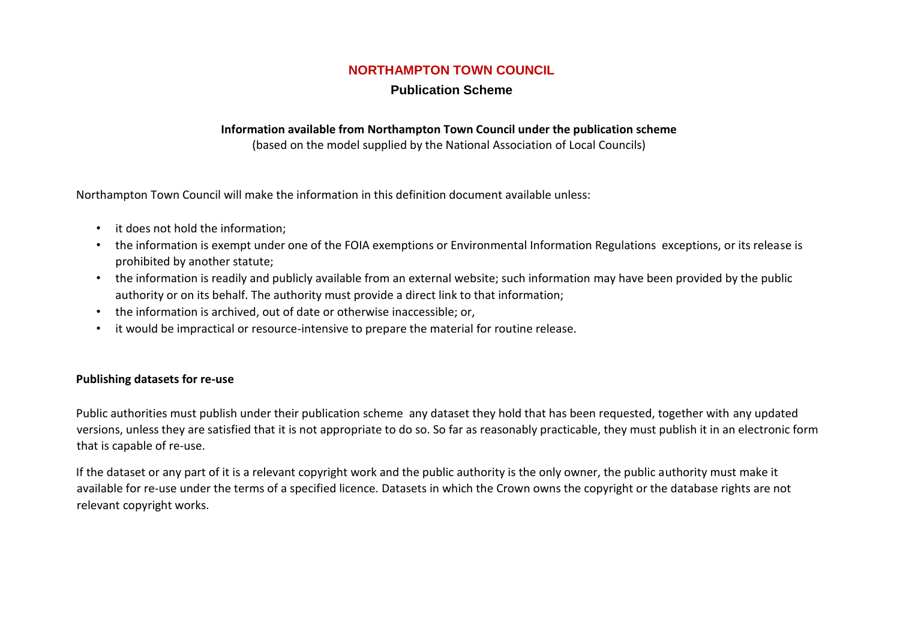### **NORTHAMPTON TOWN COUNCIL**

### **Publication Scheme**

#### **Information available from Northampton Town Council under the publication scheme**

(based on the model supplied by the National Association of Local Councils)

Northampton Town Council will make the information in this definition document available unless:

- it does not hold the information;
- the information is exempt under one of the FOIA exemptions or Environmental Information Regulations exceptions, or its release is prohibited by another statute;
- the information is readily and publicly available from an external website; such information may have been provided by the public authority or on its behalf. The authority must provide a direct link to that information;
- the information is archived, out of date or otherwise inaccessible; or,
- it would be impractical or resource-intensive to prepare the material for routine release.

#### **Publishing datasets for re-use**

Public authorities must publish under their publication scheme any dataset they hold that has been requested, together with any updated versions, unless they are satisfied that it is not appropriate to do so. So far as reasonably practicable, they must publish it in an electronic form that is capable of re-use.

If the dataset or any part of it is a relevant copyright work and the public authority is the only owner, the public authority must make it available for re-use under the terms of a specified licence. Datasets in which the Crown owns the copyright or the database rights are not relevant copyright works.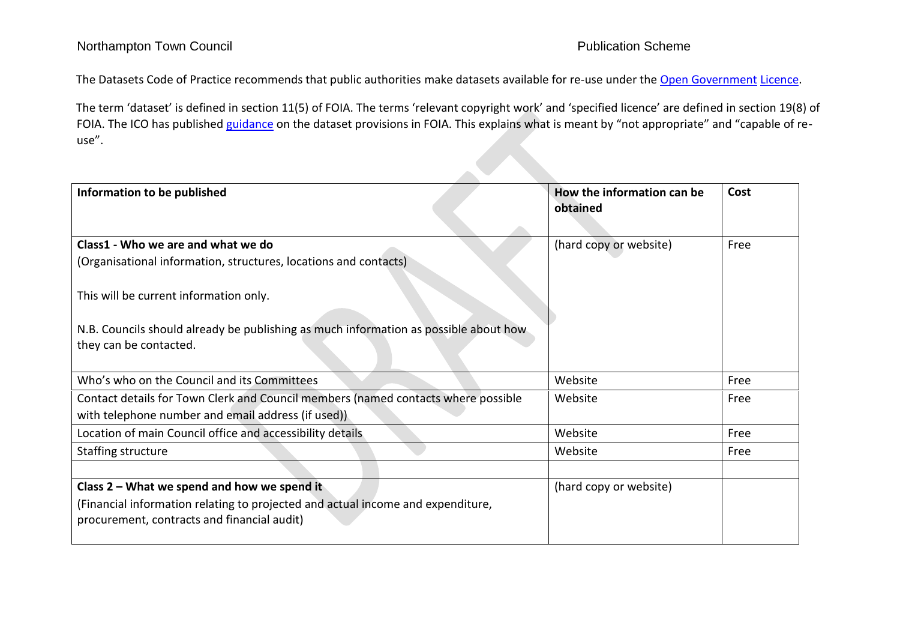The Datasets Code of Practice recommends that public authorities make datasets available for re-use under the [Open Government](http://www.nationalarchives.gov.uk/doc/open-government-licence/version/2/) Licence.

The term 'dataset' is defined in section 11(5) of FOIA. The terms 'relevant copyright work' and 'specified licence' are defined in section 19(8) of FOIA. The ICO has published [guidance](http://www.ico.org.uk/for_organisations/guidance_index/~/media/documents/library/Freedom_of_Information/Detailed_specialist_guides/datasets-foi-guidance.pdf) [o](http://www.ico.org.uk/for_organisations/guidance_index/~/media/documents/library/Freedom_of_Information/Detailed_specialist_guides/datasets-foi-guidance.pdf)n the dataset provisions in FOIA. This explains what is meant by "not appropriate" and "capable of reuse".

| Information to be published                                                                                    | How the information can be<br>obtained | Cost |
|----------------------------------------------------------------------------------------------------------------|----------------------------------------|------|
|                                                                                                                |                                        |      |
| Class1 - Who we are and what we do                                                                             | (hard copy or website)                 | Free |
| (Organisational information, structures, locations and contacts)                                               |                                        |      |
| This will be current information only.                                                                         |                                        |      |
| N.B. Councils should already be publishing as much information as possible about how<br>they can be contacted. |                                        |      |
| Who's who on the Council and its Committees                                                                    | Website                                | Free |
| Contact details for Town Clerk and Council members (named contacts where possible                              | Website                                | Free |
| with telephone number and email address (if used))                                                             |                                        |      |
| Location of main Council office and accessibility details                                                      | Website                                | Free |
| Staffing structure                                                                                             | Website                                | Free |
|                                                                                                                |                                        |      |
| Class 2 - What we spend and how we spend it                                                                    | (hard copy or website)                 |      |
| (Financial information relating to projected and actual income and expenditure,                                |                                        |      |
| procurement, contracts and financial audit)                                                                    |                                        |      |
|                                                                                                                |                                        |      |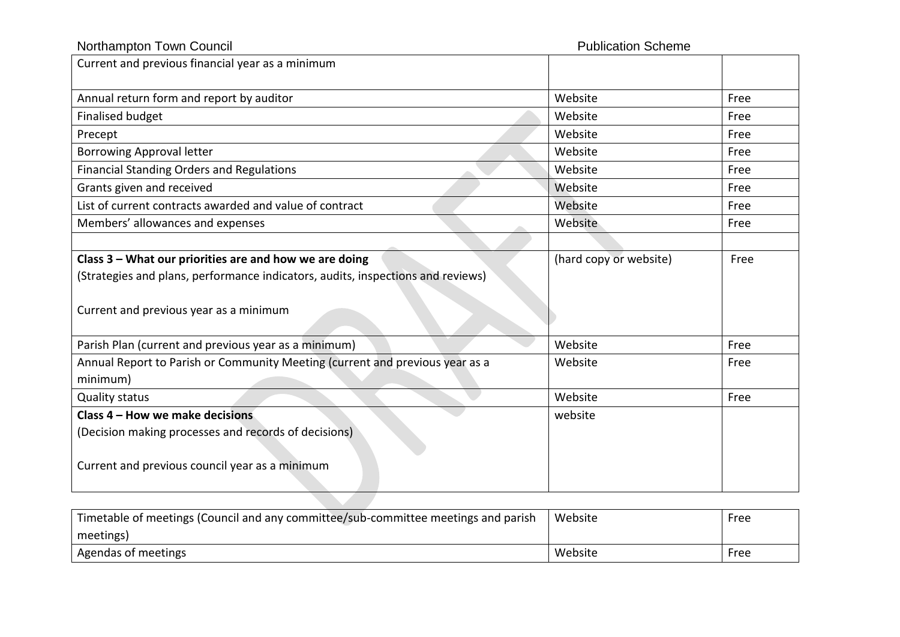# Northampton Town Council **Northampton Town Council**

| Current and previous financial year as a minimum                                |                        |      |
|---------------------------------------------------------------------------------|------------------------|------|
| Annual return form and report by auditor                                        | Website                | Free |
| <b>Finalised budget</b>                                                         | Website                | Free |
| Precept                                                                         | Website                | Free |
| <b>Borrowing Approval letter</b>                                                | Website                | Free |
| <b>Financial Standing Orders and Regulations</b>                                | Website                | Free |
| Grants given and received                                                       | Website                | Free |
| List of current contracts awarded and value of contract                         | Website                | Free |
| Members' allowances and expenses                                                | Website                | Free |
|                                                                                 |                        |      |
| Class 3 - What our priorities are and how we are doing                          | (hard copy or website) | Free |
| (Strategies and plans, performance indicators, audits, inspections and reviews) |                        |      |
| Current and previous year as a minimum                                          |                        |      |
| Parish Plan (current and previous year as a minimum)                            | Website                | Free |
| Annual Report to Parish or Community Meeting (current and previous year as a    | Website                | Free |
| minimum)                                                                        |                        |      |
| <b>Quality status</b>                                                           | Website                | Free |
| Class 4 - How we make decisions                                                 | website                |      |
| (Decision making processes and records of decisions)                            |                        |      |
| Current and previous council year as a minimum                                  |                        |      |

| Timetable of meetings (Council and any committee/sub-committee meetings and parish | Website | Free |
|------------------------------------------------------------------------------------|---------|------|
| meetings)                                                                          |         |      |
| Agendas of meetings                                                                | Website | Free |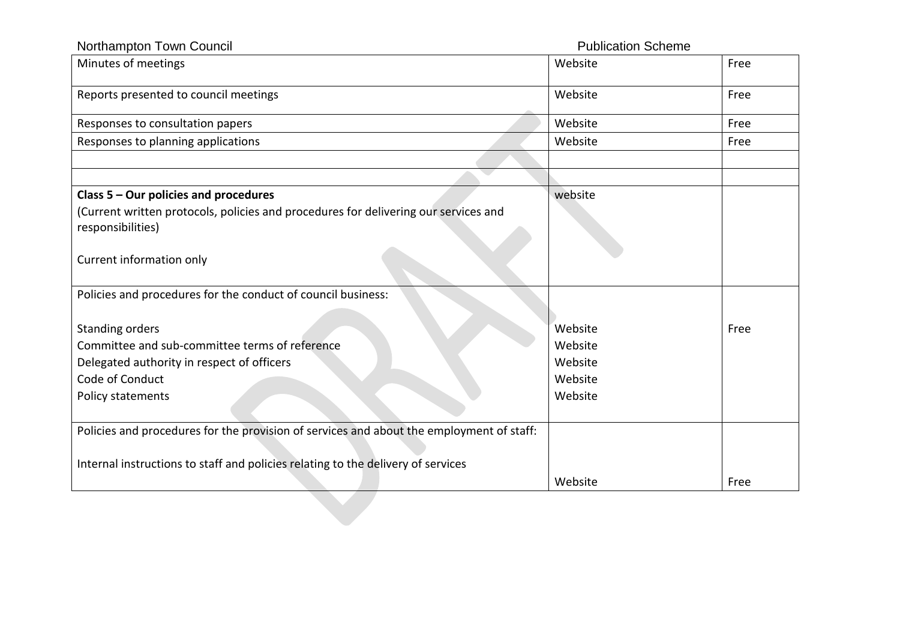| Northampton Town Council                                                                                 | <b>Publication Scheme</b> |      |
|----------------------------------------------------------------------------------------------------------|---------------------------|------|
| Minutes of meetings                                                                                      | Website                   | Free |
| Reports presented to council meetings                                                                    | Website                   | Free |
| Responses to consultation papers                                                                         | Website                   | Free |
| Responses to planning applications                                                                       | Website                   | Free |
|                                                                                                          |                           |      |
| Class 5 - Our policies and procedures                                                                    | website                   |      |
| (Current written protocols, policies and procedures for delivering our services and<br>responsibilities) |                           |      |
| Current information only                                                                                 |                           |      |
| Policies and procedures for the conduct of council business:                                             |                           |      |
| <b>Standing orders</b>                                                                                   | Website                   | Free |
| Committee and sub-committee terms of reference                                                           | Website                   |      |
| Delegated authority in respect of officers                                                               | Website                   |      |
| Code of Conduct                                                                                          | Website                   |      |
| Policy statements                                                                                        | Website                   |      |
| Policies and procedures for the provision of services and about the employment of staff:                 |                           |      |
| Internal instructions to staff and policies relating to the delivery of services                         |                           |      |
|                                                                                                          | Website                   | Free |
|                                                                                                          |                           |      |
|                                                                                                          |                           |      |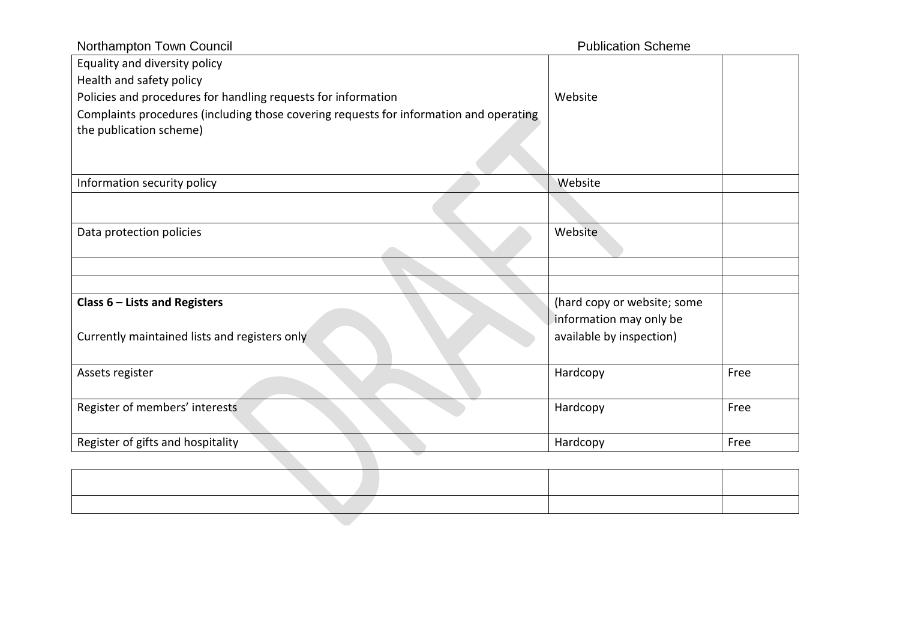| Northampton Town Council                                                               | <b>Publication Scheme</b>   |      |
|----------------------------------------------------------------------------------------|-----------------------------|------|
| Equality and diversity policy                                                          |                             |      |
| Health and safety policy                                                               |                             |      |
| Policies and procedures for handling requests for information                          | Website                     |      |
| Complaints procedures (including those covering requests for information and operating |                             |      |
| the publication scheme)                                                                |                             |      |
|                                                                                        |                             |      |
| Information security policy                                                            | Website                     |      |
|                                                                                        |                             |      |
| Data protection policies                                                               | Website                     |      |
|                                                                                        |                             |      |
|                                                                                        |                             |      |
|                                                                                        |                             |      |
| Class $6$ – Lists and Registers                                                        | (hard copy or website; some |      |
|                                                                                        | information may only be     |      |
| Currently maintained lists and registers only                                          | available by inspection)    |      |
|                                                                                        |                             |      |
| Assets register                                                                        | Hardcopy                    | Free |
|                                                                                        |                             |      |
| Register of members' interests                                                         | Hardcopy                    | Free |
|                                                                                        |                             |      |
| Register of gifts and hospitality                                                      | Hardcopy                    | Free |
|                                                                                        |                             |      |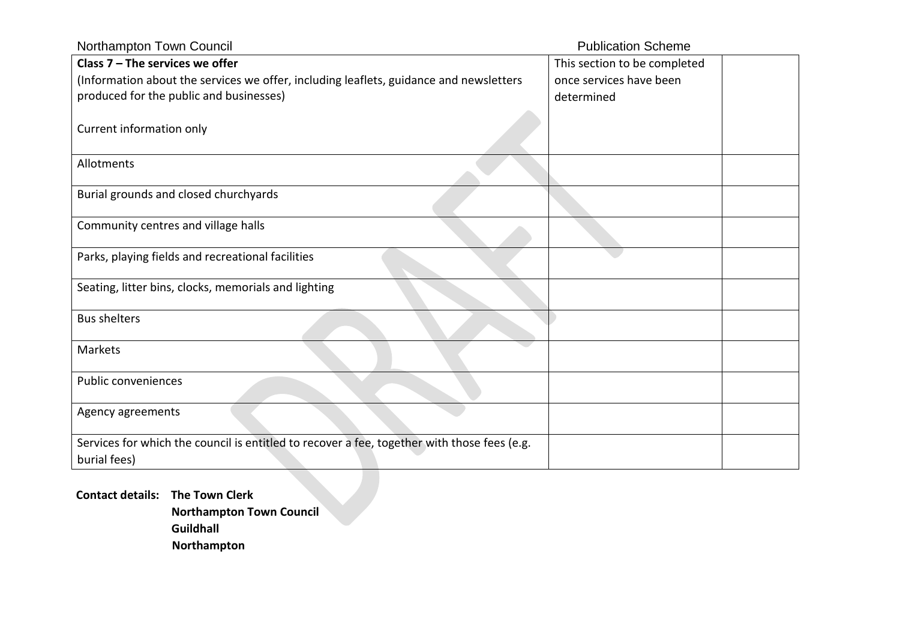| Northampton Town Council                                                                    | <b>Publication Scheme</b>    |  |
|---------------------------------------------------------------------------------------------|------------------------------|--|
| Class $7 -$ The services we offer                                                           | This section to be completed |  |
| (Information about the services we offer, including leaflets, guidance and newsletters      | once services have been      |  |
| produced for the public and businesses)                                                     | determined                   |  |
|                                                                                             |                              |  |
| Current information only                                                                    |                              |  |
|                                                                                             |                              |  |
| Allotments                                                                                  |                              |  |
| Burial grounds and closed churchyards                                                       |                              |  |
|                                                                                             |                              |  |
| Community centres and village halls                                                         |                              |  |
| Parks, playing fields and recreational facilities                                           |                              |  |
|                                                                                             |                              |  |
| Seating, litter bins, clocks, memorials and lighting                                        |                              |  |
| <b>Bus shelters</b>                                                                         |                              |  |
|                                                                                             |                              |  |
| Markets                                                                                     |                              |  |
|                                                                                             |                              |  |
| Public conveniences                                                                         |                              |  |
|                                                                                             |                              |  |
| Agency agreements                                                                           |                              |  |
| Services for which the council is entitled to recover a fee, together with those fees (e.g. |                              |  |
| burial fees)                                                                                |                              |  |
|                                                                                             |                              |  |

**Contact details: The Town Clerk Northampton Town Council Guildhall Northampton**